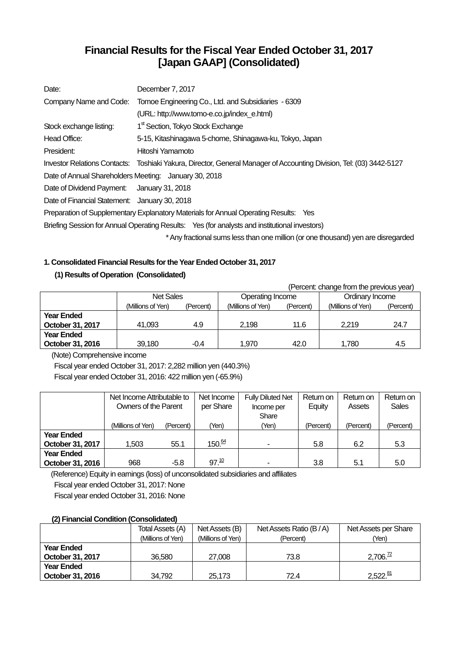## **Financial Results for the Fiscal Year Ended October 31, 2017 [Japan GAAP] (Consolidated)**

| Date:                                                 | December 7, 2017                                                                                                    |
|-------------------------------------------------------|---------------------------------------------------------------------------------------------------------------------|
| Company Name and Code:                                | Tomoe Engineering Co., Ltd. and Subsidiaries - 6309                                                                 |
|                                                       | (URL: http://www.tomo-e.co.jp/index e.html)                                                                         |
| Stock exchange listing:                               | 1 <sup>st</sup> Section, Tokyo Stock Exchange                                                                       |
| Head Office:                                          | 5-15, Kitashinagawa 5-chome, Shinagawa-ku, Tokyo, Japan                                                             |
| President:                                            | Hitoshi Yamamoto                                                                                                    |
|                                                       | Investor Relations Contacts: Toshiaki Yakura, Director, General Manager of Accounting Division, Tel: (03) 3442-5127 |
| Date of Annual Shareholders Meeting: January 30, 2018 |                                                                                                                     |
| Date of Dividend Payment: January 31, 2018            |                                                                                                                     |
| Date of Financial Statement: January 30, 2018         |                                                                                                                     |
|                                                       | Preparation of Supplementary Explanatory Materials for Annual Operating Results: Yes                                |
|                                                       | Briefing Session for Annual Operating Results: Yes (for analysts and institutional investors)                       |
|                                                       | * Any fractional sums less than one million (or one thousand) yen are disregarded                                   |

## **1. Consolidated Financial Results for the Year Ended October 31, 2017**

## **(1) Results of Operation (Consolidated)**

|                   | (Percent: change from the previous year) |           |                   |           |                   |           |  |
|-------------------|------------------------------------------|-----------|-------------------|-----------|-------------------|-----------|--|
|                   | <b>Net Sales</b>                         |           | Operating Income  |           | Ordinary Income   |           |  |
|                   | (Millions of Yen)                        | (Percent) | (Millions of Yen) | (Percent) | (Millions of Yen) | (Percent) |  |
| <b>Year Ended</b> |                                          |           |                   |           |                   |           |  |
| October 31, 2017  | 41.093                                   | 4.9       | 2.198             | 11.6      | 2.219             | 24.7      |  |
| <b>Year Ended</b> |                                          |           |                   |           |                   |           |  |
| October 31, 2016  | 39,180                                   | $-0.4$    | 1.970             | 42.0      | 1,780             | 4.5       |  |

(Note) Comprehensive income

Fiscal year ended October 31, 2017: 2,282 million yen (440.3%) Fiscal year ended October 31, 2016: 422 million yen (-65.9%)

|                   | Net Income Attributable to |           | Net Income        | <b>Fully Diluted Net</b> | Return on | Return on | Return on    |
|-------------------|----------------------------|-----------|-------------------|--------------------------|-----------|-----------|--------------|
|                   | Owners of the Parent       |           | per Share         | Income per               | Equity    | Assets    | <b>Sales</b> |
|                   |                            |           |                   | Share                    |           |           |              |
|                   | (Millions of Yen)          | (Percent) | (Yen)             | (Yen)                    | (Percent) | (Percent) | (Percent)    |
| <b>Year Ended</b> |                            |           |                   |                          |           |           |              |
| October 31, 2017  | 1,503                      | 55.1      | 150 <sup>64</sup> |                          | 5.8       | 6.2       | 5.3          |
| <b>Year Ended</b> |                            |           |                   |                          |           |           |              |
| October 31, 2016  | 968                        | $-5.8$    | $97^{10}$         |                          | 3.8       | 5.1       | 5.0          |

(Reference) Equity in earnings (loss) of unconsolidated subsidiaries and affiliates Fiscal year ended October 31, 2017: None Fiscal year ended October 31, 2016: None

## **(2) Financial Condition (Consolidated)**

|                   | Total Assets (A)  | Net Assets (B)    | Net Assets Ratio (B/A) | Net Assets per Share |
|-------------------|-------------------|-------------------|------------------------|----------------------|
|                   | (Millions of Yen) | (Millions of Yen) | (Percent)              | (Yen)                |
| <b>Year Ended</b> |                   |                   |                        |                      |
| October 31, 2017  | 36,580            | 27,008            | 73.8                   | 2,706. <sup>72</sup> |
| <b>Year Ended</b> |                   |                   |                        |                      |
| October 31, 2016  | 34.792            | 25,173            | 72.4                   | $2,522.\frac{81}{2}$ |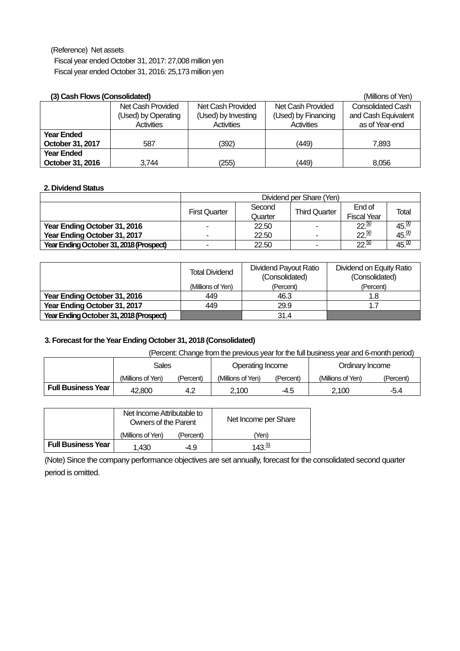(Reference) Net assets

Fiscal year ended October 31, 2017: 27,008 million yen Fiscal year ended October 31, 2016: 25,173 million yen

## **(3) Cash Flows (Consolidated)** (Millions of Yen)

| (3) Gash Flows (Gonsolidated) |                     |                     |                     | (IVIIIIIONS OF YEN)      |
|-------------------------------|---------------------|---------------------|---------------------|--------------------------|
|                               | Net Cash Provided   | Net Cash Provided   | Net Cash Provided   | <b>Consolidated Cash</b> |
|                               | (Used) by Operating | (Used) by Investing | (Used) by Financing | and Cash Equivalent      |
|                               | <b>Activities</b>   | Activities          | Activities          | as of Year-end           |
| <b>Year Ended</b>             |                     |                     |                     |                          |
| October 31, 2017              | 587                 | (392)               | (449)               | 7.893                    |
| <b>Year Ended</b>             |                     |                     |                     |                          |
| October 31, 2016              | 3.744               | 255)                | (449)               | 8,056                    |

## **2. Dividend Status**

|                                         | Dividend per Share (Yen) |                                                                           |                          |                  |                   |  |  |
|-----------------------------------------|--------------------------|---------------------------------------------------------------------------|--------------------------|------------------|-------------------|--|--|
|                                         | <b>First Quarter</b>     | End of<br>Second<br><b>Third Quarter</b><br><b>Fiscal Year</b><br>Quarter |                          |                  |                   |  |  |
| Year Ending October 31, 2016            |                          | 22.50                                                                     | ۰                        | $22\frac{50}{2}$ | $45\frac{00}{10}$ |  |  |
| Year Ending October 31, 2017            |                          | 22.50                                                                     | $\overline{\phantom{a}}$ | $22^{50}$        | 45.00             |  |  |
| Year Ending October 31, 2018 (Prospect) |                          | 22.50                                                                     | ٠                        | $22\frac{50}{2}$ | $\frac{45.00}{9}$ |  |  |

|                                         | <b>Total Dividend</b> | Dividend Payout Ratio<br>(Consolidated) | Dividend on Equity Ratio<br>(Consolidated) |
|-----------------------------------------|-----------------------|-----------------------------------------|--------------------------------------------|
|                                         | (Millions of Yen)     | (Percent)                               | (Percent)                                  |
| Year Ending October 31, 2016            | 449                   | 46.3                                    | 1.8                                        |
| Year Ending October 31, 2017            | 449                   | 29.9                                    | 1.7                                        |
| Year Ending October 31, 2018 (Prospect) |                       | 31.4                                    |                                            |

## **3. Forecast for the Year Ending October 31, 2018 (Consolidated)**

## (Percent: Change from the previous year for the full business year and 6-month period)

|                           | <b>Sales</b>      |           | Operating Income  |           | Ordinary Income   |           |
|---------------------------|-------------------|-----------|-------------------|-----------|-------------------|-----------|
|                           | (Millions of Yen) | (Percent) | (Millions of Yen) | (Percent) | (Millions of Yen) | (Percent) |
| <b>Full Business Year</b> | 42.800            | 4.2       | 2.100             | -4.5      | 2.100             | -5.4      |

|                           | Net Income Attributable to<br>Owners of the Parent |           | Net Income per Share |
|---------------------------|----------------------------------------------------|-----------|----------------------|
|                           | (Millions of Yen)                                  | (Percent) | (Yen)                |
| <b>Full Business Year</b> | 1.430                                              | -4.9      | 1⊿ว. <u>31</u>       |

(Note) Since the company performance objectives are set annually, forecast for the consolidated second quarter period is omitted.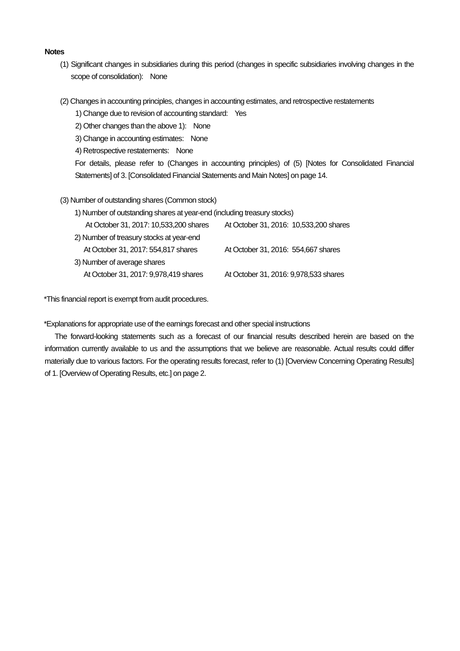#### **Notes**

- (1) Significant changes in subsidiaries during this period (changes in specific subsidiaries involving changes in the scope of consolidation): None
- (2) Changes in accounting principles, changes in accounting estimates, and retrospective restatements
	- 1) Change due to revision of accounting standard: Yes
	- 2) Other changes than the above 1): None
	- 3) Change in accounting estimates: None
	- 4) Retrospective restatements: None

For details, please refer to (Changes in accounting principles) of (5) [Notes for Consolidated Financial Statements] of 3. [Consolidated Financial Statements and Main Notes] on page 14.

- (3) Number of outstanding shares (Common stock)
	- 1) Number of outstanding shares at year-end (including treasury stocks)

| At October 31, 2017: 10,533,200 shares   | At October 31, 2016: 10,533,200 shares |
|------------------------------------------|----------------------------------------|
| 2) Number of treasury stocks at year-end |                                        |
| At October 31, 2017: 554,817 shares      | At October 31, 2016: 554,667 shares    |
| 3) Number of average shares              |                                        |
| At October 31, 2017: 9,978,419 shares    | At October 31, 2016: 9,978,533 shares  |

\*This financial report is exempt from audit procedures.

\*Explanations for appropriate use of the earnings forecast and other special instructions

The forward-looking statements such as a forecast of our financial results described herein are based on the information currently available to us and the assumptions that we believe are reasonable. Actual results could differ materially due to various factors. For the operating results forecast, refer to (1) [Overview Concerning Operating Results] of 1. [Overview of Operating Results, etc.] on page 2.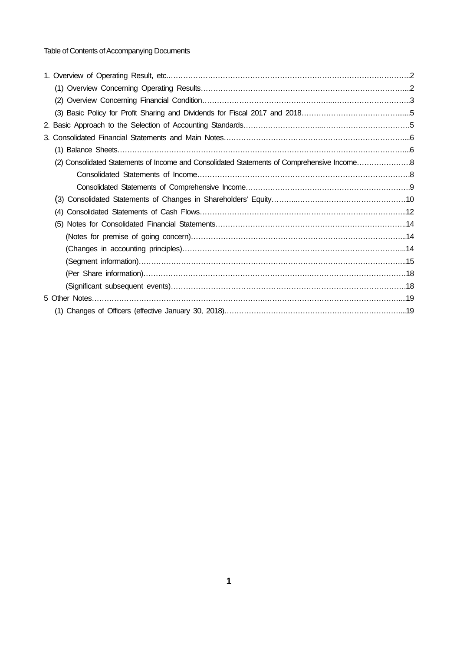Table of Contents of Accompanying Documents

| (1)                                                                                        |
|--------------------------------------------------------------------------------------------|
| (2) Consolidated Statements of Income and Consolidated Statements of Comprehensive Income8 |
|                                                                                            |
|                                                                                            |
| (3)                                                                                        |
| (4)                                                                                        |
| (5)                                                                                        |
|                                                                                            |
|                                                                                            |
|                                                                                            |
|                                                                                            |
|                                                                                            |
|                                                                                            |
|                                                                                            |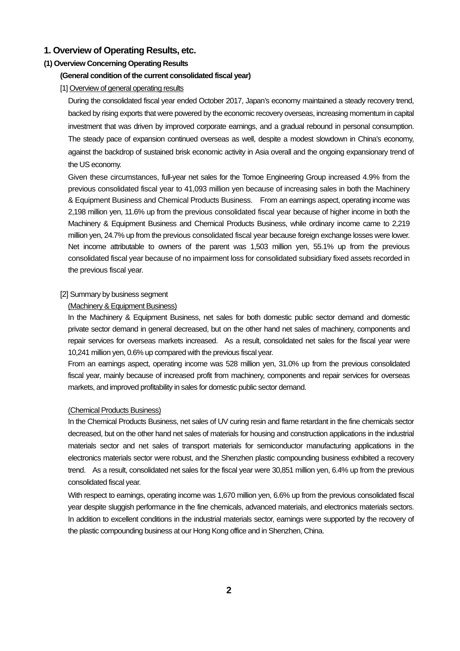## **1. Overview of Operating Results, etc.**

## **(1) Overview Concerning Operating Results**

### **(General condition of the current consolidated fiscal year)**

### [1] Overview of general operating results

During the consolidated fiscal year ended October 2017, Japan's economy maintained a steady recovery trend, backed by rising exports that were powered by the economic recovery overseas, increasing momentum in capital investment that was driven by improved corporate earnings, and a gradual rebound in personal consumption. The steady pace of expansion continued overseas as well, despite a modest slowdown in China's economy, against the backdrop of sustained brisk economic activity in Asia overall and the ongoing expansionary trend of the US economy.

Given these circumstances, full-year net sales for the Tomoe Engineering Group increased 4.9% from the previous consolidated fiscal year to 41,093 million yen because of increasing sales in both the Machinery & Equipment Business and Chemical Products Business. From an earnings aspect, operating income was 2,198 million yen, 11.6% up from the previous consolidated fiscal year because of higher income in both the Machinery & Equipment Business and Chemical Products Business, while ordinary income came to 2,219 million yen, 24.7% up from the previous consolidated fiscal year because foreign exchange losses were lower. Net income attributable to owners of the parent was 1,503 million yen, 55.1% up from the previous consolidated fiscal year because of no impairment loss for consolidated subsidiary fixed assets recorded in the previous fiscal year.

### [2] Summary by business segment

### (Machinery & Equipment Business)

In the Machinery & Equipment Business, net sales for both domestic public sector demand and domestic private sector demand in general decreased, but on the other hand net sales of machinery, components and repair services for overseas markets increased. As a result, consolidated net sales for the fiscal year were 10,241 million yen, 0.6% up compared with the previous fiscal year.

From an earnings aspect, operating income was 528 million yen, 31.0% up from the previous consolidated fiscal year, mainly because of increased profit from machinery, components and repair services for overseas markets, and improved profitability in sales for domestic public sector demand.

### (Chemical Products Business)

In the Chemical Products Business, net sales of UV curing resin and flame retardant in the fine chemicals sector decreased, but on the other hand net sales of materials for housing and construction applications in the industrial materials sector and net sales of transport materials for semiconductor manufacturing applications in the electronics materials sector were robust, and the Shenzhen plastic compounding business exhibited a recovery trend. As a result, consolidated net sales for the fiscal year were 30,851 million yen, 6.4% up from the previous consolidated fiscal year.

With respect to earnings, operating income was 1,670 million yen, 6.6% up from the previous consolidated fiscal year despite sluggish performance in the fine chemicals, advanced materials, and electronics materials sectors. In addition to excellent conditions in the industrial materials sector, earnings were supported by the recovery of the plastic compounding business at our Hong Kong office and in Shenzhen, China.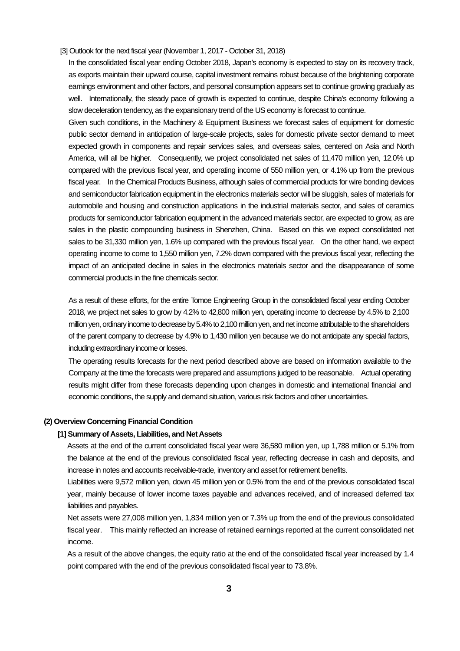[3] Outlook for the next fiscal year (November 1, 2017 - October 31, 2018)

In the consolidated fiscal year ending October 2018, Japan's economy is expected to stay on its recovery track, as exports maintain their upward course, capital investment remains robust because of the brightening corporate earnings environment and other factors, and personal consumption appears set to continue growing gradually as well. Internationally, the steady pace of growth is expected to continue, despite China's economy following a slow deceleration tendency, as the expansionary trend of the US economy is forecast to continue.

Given such conditions, in the Machinery & Equipment Business we forecast sales of equipment for domestic public sector demand in anticipation of large-scale projects, sales for domestic private sector demand to meet expected growth in components and repair services sales, and overseas sales, centered on Asia and North America, will all be higher. Consequently, we project consolidated net sales of 11,470 million yen, 12.0% up compared with the previous fiscal year, and operating income of 550 million yen, or 4.1% up from the previous fiscal year. In the Chemical Products Business, although sales of commercial products for wire bonding devices and semiconductor fabrication equipment in the electronics materials sector will be sluggish, sales of materials for automobile and housing and construction applications in the industrial materials sector, and sales of ceramics products for semiconductor fabrication equipment in the advanced materials sector, are expected to grow, as are sales in the plastic compounding business in Shenzhen, China. Based on this we expect consolidated net sales to be 31,330 million yen, 1.6% up compared with the previous fiscal year. On the other hand, we expect operating income to come to 1,550 million yen, 7.2% down compared with the previous fiscal year, reflecting the impact of an anticipated decline in sales in the electronics materials sector and the disappearance of some commercial products in the fine chemicals sector.

As a result of these efforts, for the entire Tomoe Engineering Group in the consolidated fiscal year ending October 2018, we project net sales to grow by 4.2% to 42,800 million yen, operating income to decrease by 4.5% to 2,100 million yen, ordinary income to decrease by 5.4% to 2,100 million yen, and net income attributable to the shareholders of the parent company to decrease by 4.9% to 1,430 million yen because we do not anticipate any special factors, including extraordinary income or losses.

The operating results forecasts for the next period described above are based on information available to the Company at the time the forecasts were prepared and assumptions judged to be reasonable. Actual operating results might differ from these forecasts depending upon changes in domestic and international financial and economic conditions, the supply and demand situation, various risk factors and other uncertainties.

#### **(2) Overview Concerning Financial Condition**

#### **[1] Summary of Assets, Liabilities, and Net Assets**

Assets at the end of the current consolidated fiscal year were 36,580 million yen, up 1,788 million or 5.1% from the balance at the end of the previous consolidated fiscal year, reflecting decrease in cash and deposits, and increase in notes and accounts receivable-trade, inventory and asset for retirement benefits.

Liabilities were 9,572 million yen, down 45 million yen or 0.5% from the end of the previous consolidated fiscal year, mainly because of lower income taxes payable and advances received, and of increased deferred tax liabilities and payables.

Net assets were 27,008 million yen, 1,834 million yen or 7.3% up from the end of the previous consolidated fiscal year. This mainly reflected an increase of retained earnings reported at the current consolidated net income.

As a result of the above changes, the equity ratio at the end of the consolidated fiscal year increased by 1.4 point compared with the end of the previous consolidated fiscal year to 73.8%.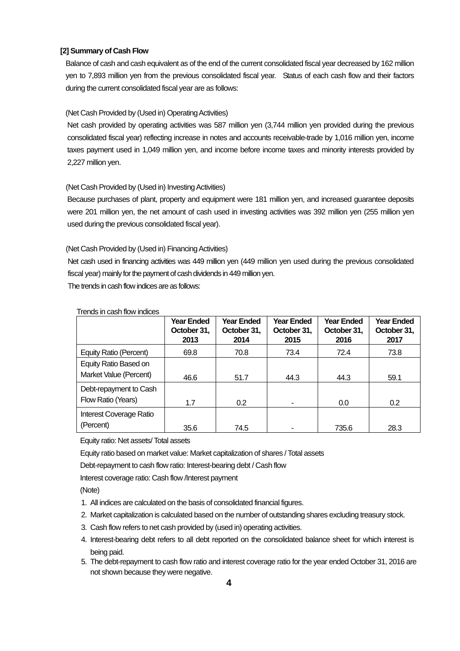### **[2] Summary of Cash Flow**

Balance of cash and cash equivalent as of the end of the current consolidated fiscal year decreased by 162 million yen to 7,893 million yen from the previous consolidated fiscal year. Status of each cash flow and their factors during the current consolidated fiscal year are as follows:

### (Net Cash Provided by (Used in) Operating Activities)

Net cash provided by operating activities was 587 million yen (3,744 million yen provided during the previous consolidated fiscal year) reflecting increase in notes and accounts receivable-trade by 1,016 million yen, income taxes payment used in 1,049 million yen, and income before income taxes and minority interests provided by 2,227 million yen.

### (Net Cash Provided by (Used in) Investing Activities)

Because purchases of plant, property and equipment were 181 million yen, and increased guarantee deposits were 201 million yen, the net amount of cash used in investing activities was 392 million yen (255 million yen used during the previous consolidated fiscal year).

### (Net Cash Provided by (Used in) Financing Activities)

Net cash used in financing activities was 449 million yen (449 million yen used during the previous consolidated fiscal year) mainly for the payment of cash dividends in 449 million yen. The trends in cash flow indices are as follows:

|                                                 | <b>Year Ended</b><br>October 31,<br>2013 | <b>Year Ended</b><br>October 31,<br>2014 | <b>Year Ended</b><br>October 31,<br>2015 | <b>Year Ended</b><br>October 31,<br>2016 | <b>Year Ended</b><br>October 31,<br>2017 |
|-------------------------------------------------|------------------------------------------|------------------------------------------|------------------------------------------|------------------------------------------|------------------------------------------|
| Equity Ratio (Percent)                          | 69.8                                     | 70.8                                     | 73.4                                     | 72.4                                     | 73.8                                     |
| Equity Ratio Based on<br>Market Value (Percent) | 46.6                                     | 51.7                                     | 44.3                                     | 44.3                                     | 59.1                                     |
| Debt-repayment to Cash<br>Flow Ratio (Years)    | 1.7                                      | 0.2                                      |                                          | 0.0                                      | 0.2                                      |
| Interest Coverage Ratio<br>(Percent)            | 35.6                                     | 74.5                                     |                                          | 735.6                                    | 28.3                                     |

### Trends in cash flow indices

Equity ratio: Net assets/ Total assets

Equity ratio based on market value: Market capitalization of shares / Total assets

Debt-repayment to cash flow ratio: Interest-bearing debt / Cash flow

Interest coverage ratio: Cash flow /Interest payment

(Note)

- 1. All indices are calculated on the basis of consolidated financial figures.
- 2. Market capitalization is calculated based on the number of outstanding shares excluding treasury stock.
- 3. Cash flow refers to net cash provided by (used in) operating activities.
- 4. Interest-bearing debt refers to all debt reported on the consolidated balance sheet for which interest is being paid.
- 5. The debt-repayment to cash flow ratio and interest coverage ratio for the year ended October 31, 2016 are not shown because they were negative.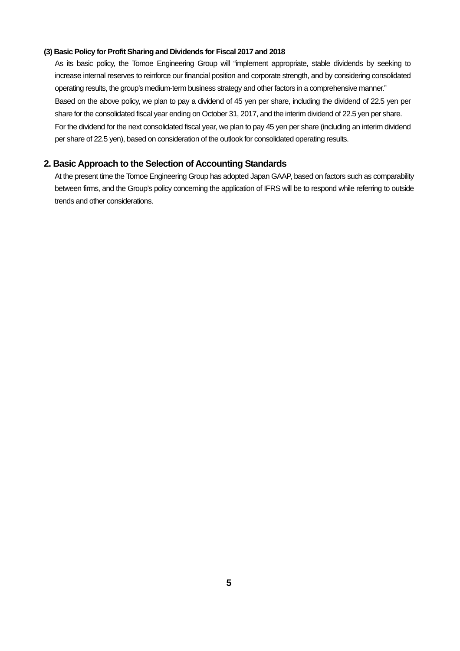### **(3) Basic Policy for Profit Sharing and Dividends for Fiscal 2017 and 2018**

As its basic policy, the Tomoe Engineering Group will "implement appropriate, stable dividends by seeking to increase internal reserves to reinforce our financial position and corporate strength, and by considering consolidated operating results, the group's medium-term business strategy and other factors in a comprehensive manner." Based on the above policy, we plan to pay a dividend of 45 yen per share, including the dividend of 22.5 yen per share for the consolidated fiscal year ending on October 31, 2017, and the interim dividend of 22.5 yen per share. For the dividend for the next consolidated fiscal year, we plan to pay 45 yen per share (including an interim dividend per share of 22.5 yen), based on consideration of the outlook for consolidated operating results.

## **2. Basic Approach to the Selection of Accounting Standards**

At the present time the Tomoe Engineering Group has adopted Japan GAAP, based on factors such as comparability between firms, and the Group's policy concerning the application of IFRS will be to respond while referring to outside trends and other considerations.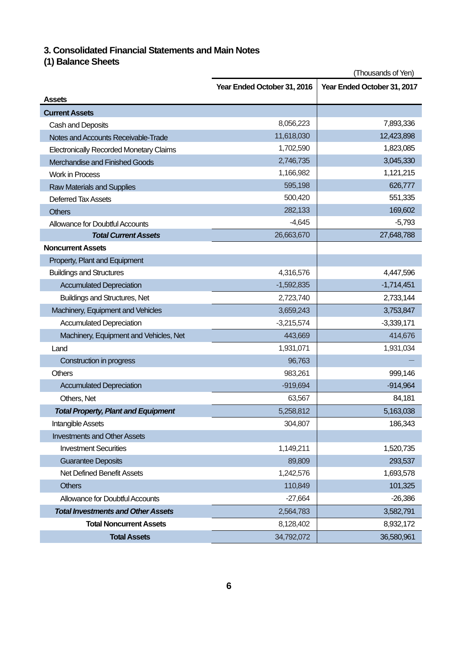## **3. Consolidated Financial Statements and Main Notes**

## **(1) Balance Sheets**

|                                                | (Thousands of Yen)          |                             |  |  |  |
|------------------------------------------------|-----------------------------|-----------------------------|--|--|--|
|                                                | Year Ended October 31, 2016 | Year Ended October 31, 2017 |  |  |  |
| <b>Assets</b>                                  |                             |                             |  |  |  |
| <b>Current Assets</b>                          |                             |                             |  |  |  |
| Cash and Deposits                              | 8,056,223                   | 7,893,336                   |  |  |  |
| Notes and Accounts Receivable-Trade            | 11,618,030                  | 12,423,898                  |  |  |  |
| <b>Electronically Recorded Monetary Claims</b> | 1,702,590                   | 1,823,085                   |  |  |  |
| Merchandise and Finished Goods                 | 2,746,735                   | 3,045,330                   |  |  |  |
| <b>Work in Process</b>                         | 1,166,982                   | 1,121,215                   |  |  |  |
| <b>Raw Materials and Supplies</b>              | 595,198                     | 626,777                     |  |  |  |
| Deferred Tax Assets                            | 500,420                     | 551,335                     |  |  |  |
| <b>Others</b>                                  | 282,133                     | 169,602                     |  |  |  |
| <b>Allowance for Doubtful Accounts</b>         | $-4,645$                    | $-5,793$                    |  |  |  |
| <b>Total Current Assets</b>                    | 26,663,670                  | 27,648,788                  |  |  |  |
| <b>Noncurrent Assets</b>                       |                             |                             |  |  |  |
| Property, Plant and Equipment                  |                             |                             |  |  |  |
| <b>Buildings and Structures</b>                | 4,316,576                   | 4,447,596                   |  |  |  |
| <b>Accumulated Depreciation</b>                | $-1,592,835$                | $-1,714,451$                |  |  |  |
| <b>Buildings and Structures, Net</b>           | 2,723,740                   | 2,733,144                   |  |  |  |
| Machinery, Equipment and Vehicles              | 3,659,243                   | 3,753,847                   |  |  |  |
| <b>Accumulated Depreciation</b>                | $-3,215,574$                | $-3,339,171$                |  |  |  |
| Machinery, Equipment and Vehicles, Net         | 443,669                     | 414,676                     |  |  |  |
| Land                                           | 1,931,071                   | 1,931,034                   |  |  |  |
| Construction in progress                       | 96,763                      |                             |  |  |  |
| <b>Others</b>                                  | 983,261                     | 999,146                     |  |  |  |
| <b>Accumulated Depreciation</b>                | $-919,694$                  | $-914,964$                  |  |  |  |
| Others, Net                                    | 63,567                      | 84,181                      |  |  |  |
| <b>Total Property, Plant and Equipment</b>     | 5,258,812                   | 5,163,038                   |  |  |  |
| Intangible Assets                              | 304,807                     | 186,343                     |  |  |  |
| <b>Investments and Other Assets</b>            |                             |                             |  |  |  |
| <b>Investment Securities</b>                   | 1,149,211                   | 1,520,735                   |  |  |  |
| <b>Guarantee Deposits</b>                      | 89,809                      | 293,537                     |  |  |  |
| Net Defined Benefit Assets                     | 1,242,576                   | 1,693,578                   |  |  |  |
| <b>Others</b>                                  | 110,849                     | 101,325                     |  |  |  |
| <b>Allowance for Doubtful Accounts</b>         | $-27,664$                   | $-26,386$                   |  |  |  |
| <b>Total Investments and Other Assets</b>      | 2,564,783                   | 3,582,791                   |  |  |  |
| <b>Total Noncurrent Assets</b>                 | 8,128,402                   | 8,932,172                   |  |  |  |
| <b>Total Assets</b>                            | 34,792,072                  | 36,580,961                  |  |  |  |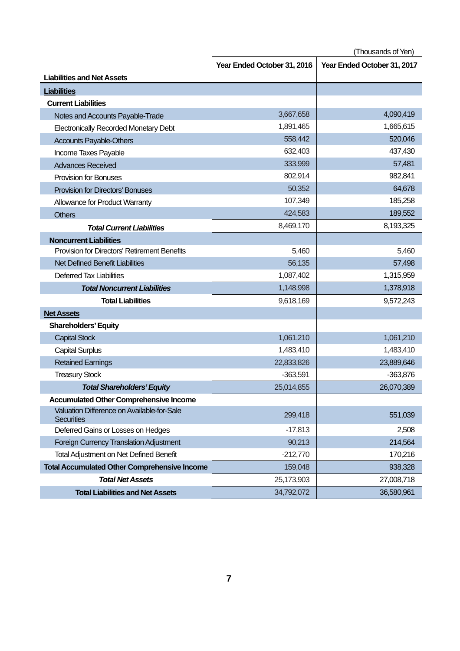(Thousands of Yen)

|                                                                 | Year Ended October 31, 2016 | Year Ended October 31, 2017 |
|-----------------------------------------------------------------|-----------------------------|-----------------------------|
| <b>Liabilities and Net Assets</b>                               |                             |                             |
| <b>Liabilities</b>                                              |                             |                             |
| <b>Current Liabilities</b>                                      |                             |                             |
| Notes and Accounts Payable-Trade                                | 3,667,658                   | 4,090,419                   |
| <b>Electronically Recorded Monetary Debt</b>                    | 1,891,465                   | 1,665,615                   |
| <b>Accounts Payable-Others</b>                                  | 558,442                     | 520,046                     |
| Income Taxes Payable                                            | 632,403                     | 437,430                     |
| <b>Advances Received</b>                                        | 333,999                     | 57,481                      |
| <b>Provision for Bonuses</b>                                    | 802,914                     | 982,841                     |
| <b>Provision for Directors' Bonuses</b>                         | 50,352                      | 64,678                      |
| Allowance for Product Warranty                                  | 107,349                     | 185,258                     |
| <b>Others</b>                                                   | 424,583                     | 189,552                     |
| <b>Total Current Liabilities</b>                                | 8,469,170                   | 8,193,325                   |
| <b>Noncurrent Liabilities</b>                                   |                             |                             |
| Provision for Directors' Retirement Benefits                    | 5,460                       | 5,460                       |
| Net Defined Benefit Liabilities                                 | 56,135                      | 57,498                      |
| Deferred Tax Liabilities                                        | 1,087,402                   | 1,315,959                   |
| <b>Total Noncurrent Liabilities</b>                             | 1,148,998                   | 1,378,918                   |
| <b>Total Liabilities</b>                                        | 9,618,169                   | 9,572,243                   |
| <b>Net Assets</b>                                               |                             |                             |
| <b>Shareholders' Equity</b>                                     |                             |                             |
| <b>Capital Stock</b>                                            | 1,061,210                   | 1,061,210                   |
| <b>Capital Surplus</b>                                          | 1,483,410                   | 1,483,410                   |
| <b>Retained Earnings</b>                                        | 22,833,826                  | 23,889,646                  |
| <b>Treasury Stock</b>                                           | $-363,591$                  | $-363,876$                  |
| <b>Total Shareholders' Equity</b>                               | 25,014,855                  | 26,070,389                  |
| <b>Accumulated Other Comprehensive Income</b>                   |                             |                             |
| Valuation Difference on Available-for-Sale<br><b>Securities</b> | 299,418                     | 551,039                     |
| Deferred Gains or Losses on Hedges                              | $-17,813$                   | 2,508                       |
| Foreign Currency Translation Adjustment                         | 90,213                      | 214,564                     |
| <b>Total Adjustment on Net Defined Benefit</b>                  | $-212,770$                  | 170,216                     |
| <b>Total Accumulated Other Comprehensive Income</b>             | 159,048                     | 938,328                     |
| <b>Total Net Assets</b>                                         | 25,173,903                  | 27,008,718                  |
| <b>Total Liabilities and Net Assets</b>                         | 34,792,072                  | 36,580,961                  |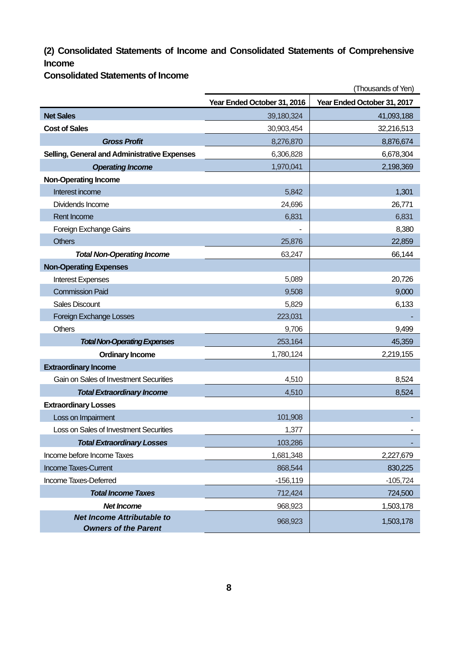## **(2) Consolidated Statements of Income and Consolidated Statements of Comprehensive Income**

**Consolidated Statements of Income** 

|                                                                  | (Thousands of Yen)          |                             |  |  |
|------------------------------------------------------------------|-----------------------------|-----------------------------|--|--|
|                                                                  | Year Ended October 31, 2016 | Year Ended October 31, 2017 |  |  |
| <b>Net Sales</b>                                                 | 39,180,324                  | 41,093,188                  |  |  |
| <b>Cost of Sales</b>                                             | 30,903,454                  | 32,216,513                  |  |  |
| <b>Gross Profit</b>                                              | 8,276,870                   | 8,876,674                   |  |  |
| <b>Selling, General and Administrative Expenses</b>              | 6,306,828                   | 6,678,304                   |  |  |
| <b>Operating Income</b>                                          | 1,970,041                   | 2,198,369                   |  |  |
| <b>Non-Operating Income</b>                                      |                             |                             |  |  |
| Interest income                                                  | 5,842                       | 1,301                       |  |  |
| Dividends Income                                                 | 24,696                      | 26,771                      |  |  |
| Rent Income                                                      | 6,831                       | 6,831                       |  |  |
| Foreign Exchange Gains                                           |                             | 8,380                       |  |  |
| <b>Others</b>                                                    | 25,876                      | 22,859                      |  |  |
| <b>Total Non-Operating Income</b>                                | 63,247                      | 66,144                      |  |  |
| <b>Non-Operating Expenses</b>                                    |                             |                             |  |  |
| <b>Interest Expenses</b>                                         | 5,089                       | 20,726                      |  |  |
| <b>Commission Paid</b>                                           | 9,508                       | 9,000                       |  |  |
| <b>Sales Discount</b>                                            | 5,829                       | 6,133                       |  |  |
| Foreign Exchange Losses                                          | 223,031                     |                             |  |  |
| <b>Others</b>                                                    | 9,706                       | 9,499                       |  |  |
| <b>Total Non-Operating Expenses</b>                              | 253,164                     | 45,359                      |  |  |
| <b>Ordinary Income</b>                                           | 1,780,124                   | 2,219,155                   |  |  |
| <b>Extraordinary Income</b>                                      |                             |                             |  |  |
| Gain on Sales of Investment Securities                           | 4,510                       | 8,524                       |  |  |
| <b>Total Extraordinary Income</b>                                | 4,510                       | 8,524                       |  |  |
| <b>Extraordinary Losses</b>                                      |                             |                             |  |  |
| Loss on Impairment                                               | 101,908                     |                             |  |  |
| Loss on Sales of Investment Securities                           | 1,377                       |                             |  |  |
| <b>Total Extraordinary Losses</b>                                | 103,286                     |                             |  |  |
| Income before Income Taxes                                       | 1,681,348                   | 2,227,679                   |  |  |
| <b>Income Taxes-Current</b>                                      | 868,544                     | 830,225                     |  |  |
| Income Taxes-Deferred                                            | $-156, 119$                 | $-105,724$                  |  |  |
| <b>Total Income Taxes</b>                                        | 712,424                     | 724,500                     |  |  |
| <b>Net Income</b>                                                | 968,923                     | 1,503,178                   |  |  |
| <b>Net Income Attributable to</b><br><b>Owners of the Parent</b> | 968,923                     | 1,503,178                   |  |  |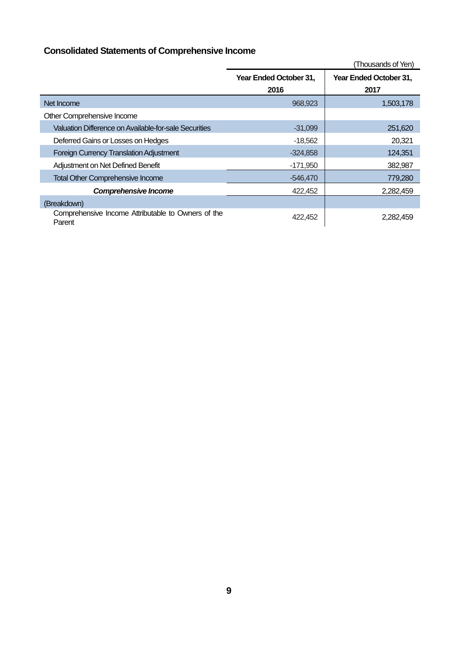# **Consolidated Statements of Comprehensive Income**

|                                                              |                        | (Thousands of Yen)     |
|--------------------------------------------------------------|------------------------|------------------------|
|                                                              | Year Ended October 31, | Year Ended October 31, |
|                                                              | 2016                   | 2017                   |
| Net Income                                                   | 968,923                | 1,503,178              |
| Other Comprehensive Income                                   |                        |                        |
| Valuation Difference on Available-for-sale Securities        | $-31,099$              | 251,620                |
| Deferred Gains or Losses on Hedges                           | $-18,562$              | 20,321                 |
| <b>Foreign Currency Translation Adjustment</b>               | $-324,858$             | 124,351                |
| Adjustment on Net Defined Benefit                            | $-171,950$             | 382,987                |
| <b>Total Other Comprehensive Income</b>                      | $-546,470$             | 779,280                |
| <b>Comprehensive Income</b>                                  | 422,452                | 2,282,459              |
| (Breakdown)                                                  |                        |                        |
| Comprehensive Income Attributable to Owners of the<br>Parent | 422,452                | 2,282,459              |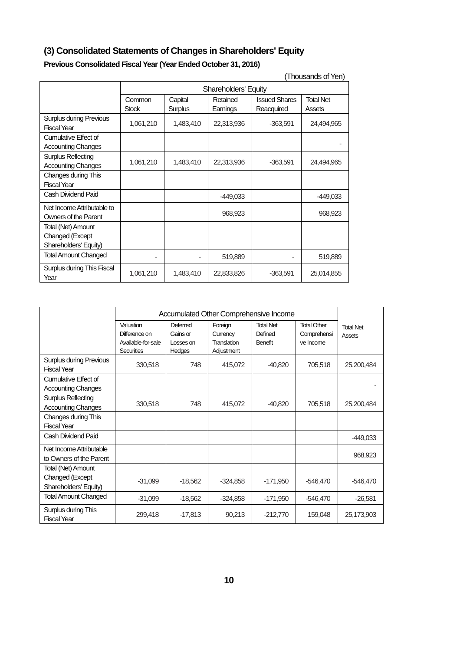# **(3) Consolidated Statements of Changes in Shareholders' Equity**

| (Thousands of Yen)                                   |              |                                                                 |            |            |            |  |  |
|------------------------------------------------------|--------------|-----------------------------------------------------------------|------------|------------|------------|--|--|
|                                                      |              | <b>Shareholders' Equity</b>                                     |            |            |            |  |  |
|                                                      | Common       | <b>Issued Shares</b><br><b>Total Net</b><br>Capital<br>Retained |            |            |            |  |  |
|                                                      | <b>Stock</b> | Surplus                                                         | Earnings   | Reacquired | Assets     |  |  |
| <b>Surplus during Previous</b><br><b>Fiscal Year</b> | 1,061,210    | 1,483,410                                                       | 22,313,936 | $-363,591$ | 24,494,965 |  |  |
| Cumulative Effect of                                 |              |                                                                 |            |            |            |  |  |
| <b>Accounting Changes</b>                            |              |                                                                 |            |            |            |  |  |
| Surplus Reflecting                                   |              |                                                                 |            |            |            |  |  |
| <b>Accounting Changes</b>                            | 1,061,210    | 1,483,410                                                       | 22,313,936 | $-363,591$ | 24,494,965 |  |  |
| Changes during This                                  |              |                                                                 |            |            |            |  |  |
| <b>Fiscal Year</b>                                   |              |                                                                 |            |            |            |  |  |
| Cash Dividend Paid                                   |              |                                                                 | $-449,033$ |            | -449,033   |  |  |
| Net Income Attributable to                           |              |                                                                 |            |            |            |  |  |
| Owners of the Parent                                 |              |                                                                 | 968,923    |            | 968,923    |  |  |
| Total (Net) Amount                                   |              |                                                                 |            |            |            |  |  |
| Changed (Except                                      |              |                                                                 |            |            |            |  |  |
| Shareholders' Equity)                                |              |                                                                 |            |            |            |  |  |
| <b>Total Amount Changed</b>                          |              |                                                                 | 519,889    |            | 519,889    |  |  |
| Surplus during This Fiscal<br>Year                   | 1,061,210    | 1,483,410                                                       | 22,833,826 | -363,591   | 25,014,855 |  |  |

|                                                                |                                                                       | Accumulated Other Comprehensive Income      |                                                  |                                        |                                                |                            |
|----------------------------------------------------------------|-----------------------------------------------------------------------|---------------------------------------------|--------------------------------------------------|----------------------------------------|------------------------------------------------|----------------------------|
|                                                                | Valuation<br>Difference on<br>Available-for-sale<br><b>Securities</b> | Deferred<br>Gains or<br>Losses on<br>Hedges | Foreign<br>Currency<br>Translation<br>Adjustment | <b>Total Net</b><br>Defined<br>Benefit | <b>Total Other</b><br>Comprehensi<br>ve Income | <b>Total Net</b><br>Assets |
| <b>Surplus during Previous</b><br><b>Fiscal Year</b>           | 330,518                                                               | 748                                         | 415,072                                          | $-40,820$                              | 705,518                                        | 25,200,484                 |
| Cumulative Effect of<br><b>Accounting Changes</b>              |                                                                       |                                             |                                                  |                                        |                                                |                            |
| <b>Surplus Reflecting</b><br><b>Accounting Changes</b>         | 330,518                                                               | 748                                         | 415,072                                          | $-40,820$                              | 705,518                                        | 25,200,484                 |
| Changes during This<br><b>Fiscal Year</b>                      |                                                                       |                                             |                                                  |                                        |                                                |                            |
| Cash Dividend Paid                                             |                                                                       |                                             |                                                  |                                        |                                                | $-449,033$                 |
| Net Income Attributable<br>to Owners of the Parent             |                                                                       |                                             |                                                  |                                        |                                                | 968,923                    |
| Total (Net) Amount<br>Changed (Except<br>Shareholders' Equity) | $-31,099$                                                             | $-18,562$                                   | $-324,858$                                       | $-171,950$                             | $-546,470$                                     | $-546,470$                 |
| <b>Total Amount Changed</b>                                    | $-31,099$                                                             | $-18,562$                                   | $-324,858$                                       | $-171,950$                             | $-546,470$                                     | $-26,581$                  |
| Surplus during This<br><b>Fiscal Year</b>                      | 299,418                                                               | $-17,813$                                   | 90,213                                           | $-212,770$                             | 159,048                                        | 25,173,903                 |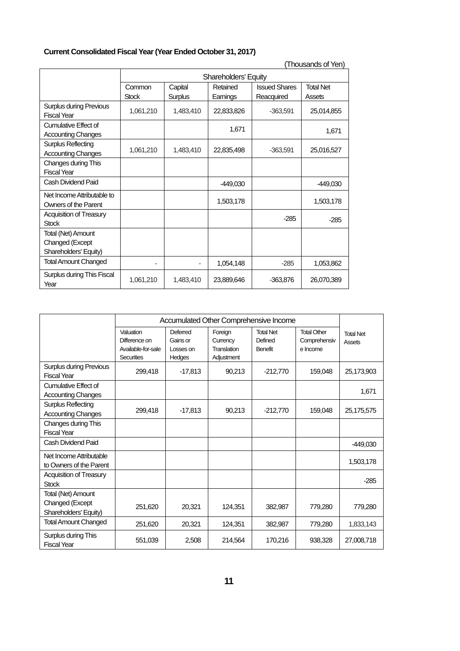## **Current Consolidated Fiscal Year (Year Ended October 31, 2017)**

| (Thousands of Yen)                                             |                                                                                                                                          |           |                             |            |            |  |
|----------------------------------------------------------------|------------------------------------------------------------------------------------------------------------------------------------------|-----------|-----------------------------|------------|------------|--|
|                                                                |                                                                                                                                          |           | <b>Shareholders' Equity</b> |            |            |  |
|                                                                | <b>Total Net</b><br>Common<br><b>Issued Shares</b><br>Capital<br>Retained<br><b>Stock</b><br>Surplus<br>Earnings<br>Reacquired<br>Assets |           |                             |            |            |  |
| <b>Surplus during Previous</b><br><b>Fiscal Year</b>           | 1,061,210                                                                                                                                | 1,483,410 | 22,833,826                  | $-363,591$ | 25,014,855 |  |
| Cumulative Effect of<br><b>Accounting Changes</b>              |                                                                                                                                          |           | 1,671                       |            | 1,671      |  |
| Surplus Reflecting<br><b>Accounting Changes</b>                | 1,061,210                                                                                                                                | 1,483,410 | 22,835,498                  | $-363,591$ | 25,016,527 |  |
| Changes during This<br><b>Fiscal Year</b>                      |                                                                                                                                          |           |                             |            |            |  |
| Cash Dividend Paid                                             |                                                                                                                                          |           | $-449,030$                  |            | $-449,030$ |  |
| Net Income Attributable to<br>Owners of the Parent             |                                                                                                                                          |           | 1,503,178                   |            | 1,503,178  |  |
| <b>Acquisition of Treasury</b><br><b>Stock</b>                 |                                                                                                                                          |           |                             | $-285$     | $-285$     |  |
| Total (Net) Amount<br>Changed (Except<br>Shareholders' Equity) |                                                                                                                                          |           |                             |            |            |  |
| <b>Total Amount Changed</b>                                    |                                                                                                                                          |           | 1,054,148                   | $-285$     | 1,053,862  |  |
| Surplus during This Fiscal<br>Year                             | 1,061,210                                                                                                                                | 1,483,410 | 23,889,646                  | $-363,876$ | 26,070,389 |  |

|                                                                | Accumulated Other Comprehensive Income                         |                                             |                                                  |                                        |                                                |                                   |
|----------------------------------------------------------------|----------------------------------------------------------------|---------------------------------------------|--------------------------------------------------|----------------------------------------|------------------------------------------------|-----------------------------------|
|                                                                | Valuation<br>Difference on<br>Available-for-sale<br>Securities | Deferred<br>Gains or<br>Losses on<br>Hedges | Foreign<br>Currency<br>Translation<br>Adjustment | <b>Total Net</b><br>Defined<br>Benefit | <b>Total Other</b><br>Comprehensiv<br>e Income | <b>Total Net</b><br><b>Assets</b> |
| <b>Surplus during Previous</b><br><b>Fiscal Year</b>           | 299,418                                                        | $-17,813$                                   | 90,213                                           | $-212,770$                             | 159,048                                        | 25,173,903                        |
| Cumulative Effect of<br><b>Accounting Changes</b>              |                                                                |                                             |                                                  |                                        |                                                | 1,671                             |
| <b>Surplus Reflecting</b><br><b>Accounting Changes</b>         | 299,418                                                        | $-17,813$                                   | 90,213                                           | $-212,770$                             | 159,048                                        | 25,175,575                        |
| Changes during This<br><b>Fiscal Year</b>                      |                                                                |                                             |                                                  |                                        |                                                |                                   |
| Cash Dividend Paid                                             |                                                                |                                             |                                                  |                                        |                                                | $-449,030$                        |
| Net Income Attributable<br>to Owners of the Parent             |                                                                |                                             |                                                  |                                        |                                                | 1,503,178                         |
| Acquisition of Treasury<br><b>Stock</b>                        |                                                                |                                             |                                                  |                                        |                                                | $-285$                            |
| Total (Net) Amount<br>Changed (Except<br>Shareholders' Equity) | 251,620                                                        | 20,321                                      | 124,351                                          | 382,987                                | 779,280                                        | 779,280                           |
| <b>Total Amount Changed</b>                                    | 251,620                                                        | 20,321                                      | 124,351                                          | 382,987                                | 779,280                                        | 1,833,143                         |
| Surplus during This<br><b>Fiscal Year</b>                      | 551,039                                                        | 2,508                                       | 214.564                                          | 170,216                                | 938.328                                        | 27,008,718                        |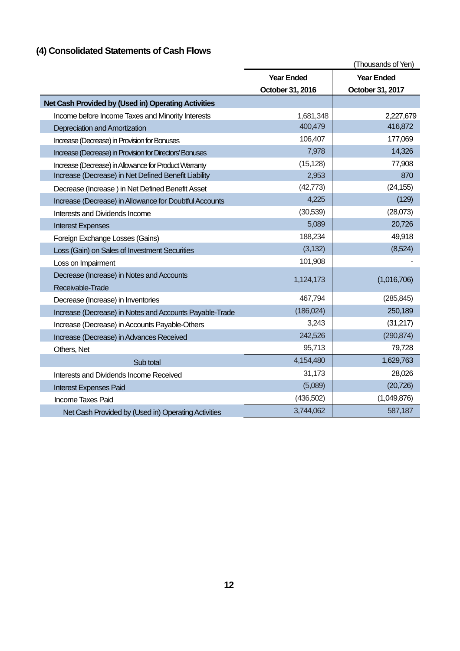# **(4) Consolidated Statements of Cash Flows**

|                                                         |                   | (Thousands of Yen) |
|---------------------------------------------------------|-------------------|--------------------|
|                                                         | <b>Year Ended</b> | <b>Year Ended</b>  |
|                                                         | October 31, 2016  | October 31, 2017   |
| Net Cash Provided by (Used in) Operating Activities     |                   |                    |
| Income before Income Taxes and Minority Interests       | 1,681,348         | 2,227,679          |
| Depreciation and Amortization                           | 400,479           | 416,872            |
| Increase (Decrease) in Provision for Bonuses            | 106,407           | 177,069            |
| Increase (Decrease) in Provision for Directors' Bonuses | 7,978             | 14,326             |
| Increase (Decrease) in Allowance for Product Warranty   | (15, 128)         | 77,908             |
| Increase (Decrease) in Net Defined Benefit Liability    | 2,953             | 870                |
| Decrease (Increase) in Net Defined Benefit Asset        | (42, 773)         | (24, 155)          |
| Increase (Decrease) in Allowance for Doubtful Accounts  | 4,225             | (129)              |
| Interests and Dividends Income                          | (30,539)          | (28,073)           |
| <b>Interest Expenses</b>                                | 5,089             | 20,726             |
| Foreign Exchange Losses (Gains)                         | 188,234           | 49,918             |
| Loss (Gain) on Sales of Investment Securities           | (3, 132)          | (8,524)            |
| Loss on Impairment                                      | 101,908           |                    |
| Decrease (Increase) in Notes and Accounts               | 1,124,173         | (1,016,706)        |
| Receivable-Trade                                        |                   |                    |
| Decrease (Increase) in Inventories                      | 467,794           | (285, 845)         |
| Increase (Decrease) in Notes and Accounts Payable-Trade | (186, 024)        | 250,189            |
| Increase (Decrease) in Accounts Payable-Others          | 3,243             | (31, 217)          |
| Increase (Decrease) in Advances Received                | 242,526           | (290, 874)         |
| Others, Net                                             | 95,713            | 79,728             |
| Sub total                                               | 4,154,480         | 1,629,763          |
| Interests and Dividends Income Received                 | 31,173            | 28,026             |
| <b>Interest Expenses Paid</b>                           | (5,089)           | (20, 726)          |
| <b>Income Taxes Paid</b>                                | (436, 502)        | (1,049,876)        |
| Net Cash Provided by (Used in) Operating Activities     | 3,744,062         | 587,187            |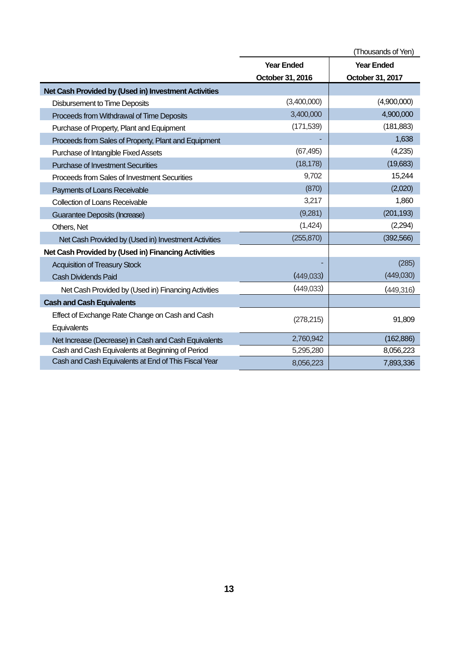|                                                      | (Thousands of Yen) |                   |  |  |
|------------------------------------------------------|--------------------|-------------------|--|--|
|                                                      | <b>Year Ended</b>  | <b>Year Ended</b> |  |  |
|                                                      | October 31, 2016   | October 31, 2017  |  |  |
| Net Cash Provided by (Used in) Investment Activities |                    |                   |  |  |
| <b>Disbursement to Time Deposits</b>                 | (3,400,000)        | (4,900,000)       |  |  |
| Proceeds from Withdrawal of Time Deposits            | 3,400,000          | 4,900,000         |  |  |
| Purchase of Property, Plant and Equipment            | (171, 539)         | (181, 883)        |  |  |
| Proceeds from Sales of Property, Plant and Equipment |                    | 1,638             |  |  |
| Purchase of Intangible Fixed Assets                  | (67, 495)          | (4,235)           |  |  |
| <b>Purchase of Investment Securities</b>             | (18, 178)          | (19,683)          |  |  |
| <b>Proceeds from Sales of Investment Securities</b>  | 9,702              | 15,244            |  |  |
| Payments of Loans Receivable                         | (870)              | (2,020)           |  |  |
| <b>Collection of Loans Receivable</b>                | 3,217              | 1,860             |  |  |
| Guarantee Deposits (Increase)                        | (9,281)            | (201, 193)        |  |  |
| Others, Net                                          | (1,424)            | (2,294)           |  |  |
| Net Cash Provided by (Used in) Investment Activities | (255, 870)         | (392, 566)        |  |  |
| Net Cash Provided by (Used in) Financing Activities  |                    |                   |  |  |
| <b>Acquisition of Treasury Stock</b>                 |                    | (285)             |  |  |
| <b>Cash Dividends Paid</b>                           | (449,033)          | (449,030)         |  |  |
| Net Cash Provided by (Used in) Financing Activities  | (449,033)          | (449,316)         |  |  |
| <b>Cash and Cash Equivalents</b>                     |                    |                   |  |  |
| Effect of Exchange Rate Change on Cash and Cash      | (278, 215)         | 91,809            |  |  |
| Equivalents                                          |                    |                   |  |  |
| Net Increase (Decrease) in Cash and Cash Equivalents | 2,760,942          | (162, 886)        |  |  |
| Cash and Cash Equivalents at Beginning of Period     | 5,295,280          | 8,056,223         |  |  |
| Cash and Cash Equivalents at End of This Fiscal Year | 8,056,223          | 7,893,336         |  |  |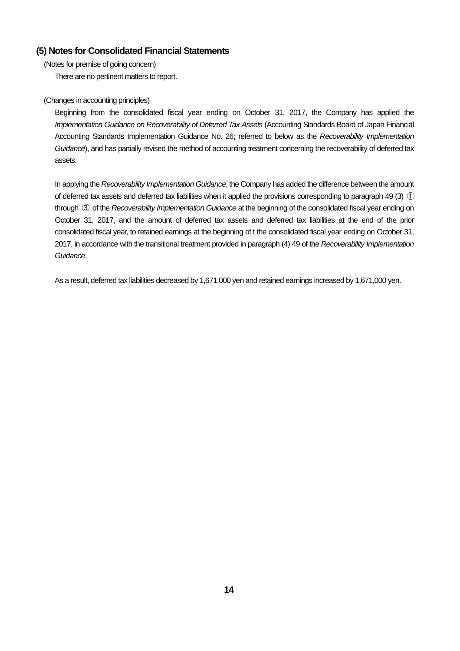## **(5) Notes for Consolidated Financial Statements**

(Notes for premise of going concern)

There are no pertinent matters to report.

## (Changes in accounting principles)

Beginning from the consolidated fiscal year ending on October 31, 2017, the Company has applied the Implementation Guidance on Recoverability of Deferred Tax Assets (Accounting Standards Board of Japan Financial Accounting Standards Implementation Guidance No. 26; referred to below as the Recoverability Implementation Guidance), and has partially revised the method of accounting treatment concerning the recoverability of deferred tax assets.

In applying the Recoverability Implementation Guidance, the Company has added the difference between the amount of deferred tax assets and deferred tax liabilities when it applied the provisions corresponding to paragraph 49 (3)  $\circled{1}$ through 3 of the Recoverability Implementation Guidance at the beginning of the consolidated fiscal year ending on October 31, 2017, and the amount of deferred tax assets and deferred tax liabilities at the end of the prior consolidated fiscal year, to retained earnings at the beginning of t the consolidated fiscal year ending on October 31, 2017, in accordance with the transitional treatment provided in paragraph (4) 49 of the Recoverability Implementation Guidance.

As a result, deferred tax liabilities decreased by 1,671,000 yen and retained earnings increased by 1,671,000 yen.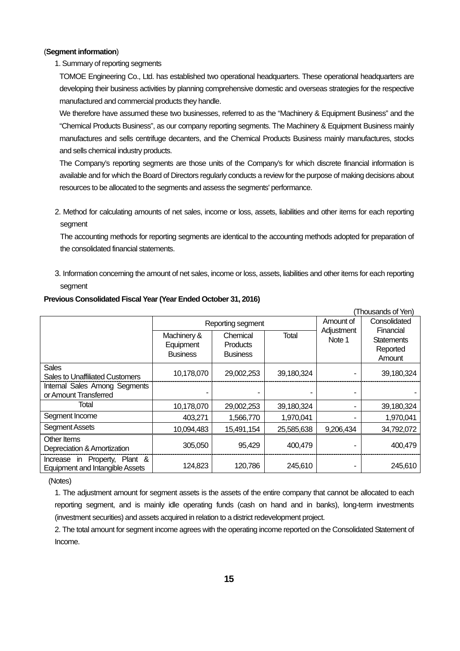### (**Segment information**)

### 1. Summary of reporting segments

TOMOE Engineering Co., Ltd. has established two operational headquarters. These operational headquarters are developing their business activities by planning comprehensive domestic and overseas strategies for the respective manufactured and commercial products they handle.

We therefore have assumed these two businesses, referred to as the "Machinery & Equipment Business" and the "Chemical Products Business", as our company reporting segments. The Machinery & Equipment Business mainly manufactures and sells centrifuge decanters, and the Chemical Products Business mainly manufactures, stocks and sells chemical industry products.

The Company's reporting segments are those units of the Company's for which discrete financial information is available and for which the Board of Directors regularly conducts a review for the purpose of making decisions about resources to be allocated to the segments and assess the segments' performance.

2. Method for calculating amounts of net sales, income or loss, assets, liabilities and other items for each reporting segment

The accounting methods for reporting segments are identical to the accounting methods adopted for preparation of the consolidated financial statements.

3. Information concerning the amount of net sales, income or loss, assets, liabilities and other items for each reporting segment

|                                                                         |                                             |                                                |              |                      | (Thousands of Yen)                                   |
|-------------------------------------------------------------------------|---------------------------------------------|------------------------------------------------|--------------|----------------------|------------------------------------------------------|
|                                                                         |                                             | Reporting segment                              | Amount of    | Consolidated         |                                                      |
|                                                                         | Machinery &<br>Equipment<br><b>Business</b> | Chemical<br><b>Products</b><br><b>Business</b> | <b>Total</b> | Adjustment<br>Note 1 | Financial<br><b>Statements</b><br>Reported<br>Amount |
| <b>Sales</b><br><b>Sales to Unaffiliated Customers</b>                  | 10,178,070                                  | 29,002,253                                     | 39,180,324   |                      | 39,180,324                                           |
| Internal Sales Among Segments<br>or Amount Transferred                  |                                             |                                                |              |                      |                                                      |
| Total                                                                   | 10,178,070                                  | 29,002,253                                     | 39,180,324   |                      | 39,180,324                                           |
| Segment Income                                                          | 403,271                                     | 1,566,770                                      | 1,970,041    |                      | 1,970,041                                            |
| <b>Segment Assets</b>                                                   | 10,094,483                                  | 15,491,154                                     | 25,585,638   | 9,206,434            | 34,792,072                                           |
| Other Items<br>Depreciation & Amortization                              | 305,050                                     | 95,429                                         | 400,479      |                      | 400,479                                              |
| Increase in Property, Plant &<br><b>Equipment and Intangible Assets</b> | 124,823                                     | 120,786                                        | 245,610      |                      | 245,610                                              |

#### **Previous Consolidated Fiscal Year (Year Ended October 31, 2016)**

(Notes)

1. The adjustment amount for segment assets is the assets of the entire company that cannot be allocated to each reporting segment, and is mainly idle operating funds (cash on hand and in banks), long-term investments (investment securities) and assets acquired in relation to a district redevelopment project.

2. The total amount for segment income agrees with the operating income reported on the Consolidated Statement of Income.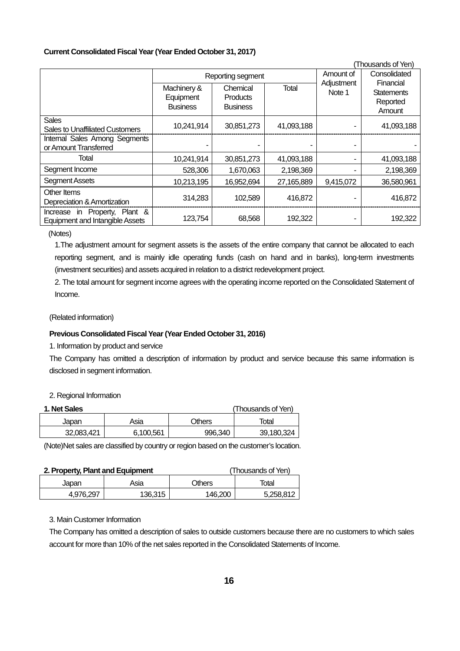### **Current Consolidated Fiscal Year (Year Ended October 31, 2017)**

|                                                                         |                                             |                                                |            |                      | (Thousands of Yen)                                   |
|-------------------------------------------------------------------------|---------------------------------------------|------------------------------------------------|------------|----------------------|------------------------------------------------------|
|                                                                         |                                             | Reporting segment                              | Amount of  | Consolidated         |                                                      |
|                                                                         | Machinery &<br>Equipment<br><b>Business</b> | Chemical<br><b>Products</b><br><b>Business</b> | Total      | Adjustment<br>Note 1 | Financial<br><b>Statements</b><br>Reported<br>Amount |
| <b>Sales</b><br><b>Sales to Unaffiliated Customers</b>                  | 10,241,914                                  | 30,851,273                                     | 41,093,188 |                      | 41,093,188                                           |
| Internal Sales Among Segments<br>or Amount Transferred                  |                                             |                                                |            |                      |                                                      |
| Total                                                                   | 10,241,914                                  | 30,851,273                                     | 41,093,188 |                      | 41,093,188                                           |
| Segment Income                                                          | 528,306                                     | 1,670,063                                      | 2,198,369  |                      | 2,198,369                                            |
| <b>Segment Assets</b>                                                   | 10,213,195                                  | 16,952,694                                     | 27,165,889 | 9,415,072            | 36,580,961                                           |
| Other Items<br>Depreciation & Amortization                              | 314,283                                     | 102,589                                        | 416,872    |                      | 416,872                                              |
| Increase in Property, Plant &<br><b>Equipment and Intangible Assets</b> | 123,754                                     | 68,568                                         | 192,322    |                      | 192,322                                              |

(Notes)

1.The adjustment amount for segment assets is the assets of the entire company that cannot be allocated to each reporting segment, and is mainly idle operating funds (cash on hand and in banks), long-term investments (investment securities) and assets acquired in relation to a district redevelopment project.

2. The total amount for segment income agrees with the operating income reported on the Consolidated Statement of Income.

(Related information)

## **Previous Consolidated Fiscal Year (Year Ended October 31, 2016)**

1. Information by product and service

The Company has omitted a description of information by product and service because this same information is disclosed in segment information.

### 2. Regional Information

| 1. Net Sales |           |         | (Thousands of Yen) |
|--------------|-----------|---------|--------------------|
| Japan        | Asia      | Others  | Total              |
| 32,083,421   | 6.100.561 | 996.340 | 39.180.324         |

(Note)Net sales are classified by country or region based on the customer's location.

| 2. Property, Plant and Equipment |         | (Thousands of Yen) |           |
|----------------------------------|---------|--------------------|-----------|
| Japan                            | Asia    | Others             | Total     |
| 4.976.297                        | 136.315 | 146.200            | 5.258.812 |

### 3. Main Customer Information

The Company has omitted a description of sales to outside customers because there are no customers to which sales account for more than 10% of the net sales reported in the Consolidated Statements of Income.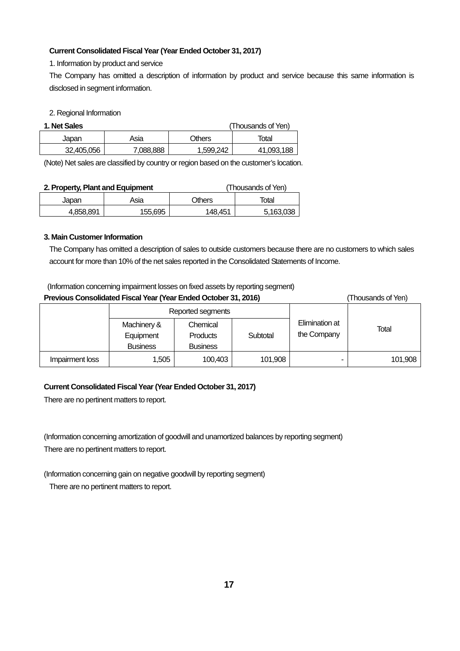## **Current Consolidated Fiscal Year (Year Ended October 31, 2017)**

1. Information by product and service

The Company has omitted a description of information by product and service because this same information is disclosed in segment information.

### 2. Regional Information

| 1. Net Sales |           |           | (Thousands of Yen) |
|--------------|-----------|-----------|--------------------|
| Japan        | Asia      | Others    | Total              |
| 32,405,056   | 7.088.888 | 1,599,242 | 41,093,188         |

(Note) Net sales are classified by country or region based on the customer's location.

| 2. Property, Plant and Equipment |         |               | (Thousands of Yen) |
|----------------------------------|---------|---------------|--------------------|
| Japan                            | Asia    | <b>Others</b> | Total              |
| 4.858.891                        | 155,695 | 148.451       | 5.163.038          |

## **3. Main Customer Information**

The Company has omitted a description of sales to outside customers because there are no customers to which sales account for more than 10% of the net sales reported in the Consolidated Statements of Income.

## (Information concerning impairment losses on fixed assets by reporting segment)

| Previous Consolidated Fiscal Year (Year Ended October 31, 2016)<br>(Thousands of Yen) |                                             |                                                |          |                               |         |
|---------------------------------------------------------------------------------------|---------------------------------------------|------------------------------------------------|----------|-------------------------------|---------|
|                                                                                       | Reported segments                           |                                                |          |                               |         |
|                                                                                       | Machinery &<br>Equipment<br><b>Business</b> | Chemical<br><b>Products</b><br><b>Business</b> | Subtotal | Elimination at<br>the Company | Total   |
| Impairment loss                                                                       | 1,505                                       | 100,403                                        | 101,908  |                               | 101,908 |

## **Current Consolidated Fiscal Year (Year Ended October 31, 2017)**

There are no pertinent matters to report.

(Information concerning amortization of goodwill and unamortized balances by reporting segment) There are no pertinent matters to report.

(Information concerning gain on negative goodwill by reporting segment)

There are no pertinent matters to report.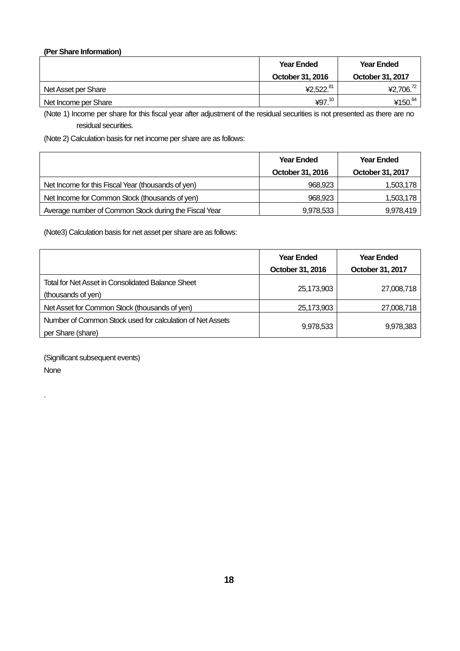## **(Per Share Information)**

|                      | <b>Year Ended</b> | <b>Year Ended</b>     |
|----------------------|-------------------|-----------------------|
|                      | October 31, 2016  | October 31, 2017      |
| Net Asset per Share  | ¥2,522.81         | 42,706. <sup>72</sup> |
| Net Income per Share | ¥97. $^{10}$      | ¥150. $64$            |

(Note 1) Income per share for this fiscal year after adjustment of the residual securities is not presented as there are no residual securities.

(Note 2) Calculation basis for net income per share are as follows:

|                                                       | <b>Year Ended</b> | <b>Year Ended</b> |
|-------------------------------------------------------|-------------------|-------------------|
|                                                       | October 31, 2016  | October 31, 2017  |
| Net Income for this Fiscal Year (thousands of yen)    | 968,923           | 1,503,178         |
| Net Income for Common Stock (thousands of yen)        | 968,923           | 1,503,178         |
| Average number of Common Stock during the Fiscal Year | 9,978,533         | 9,978,419         |

(Note3) Calculation basis for net asset per share are as follows:

|                                                           | <b>Year Ended</b> | <b>Year Ended</b> |
|-----------------------------------------------------------|-------------------|-------------------|
|                                                           | October 31, 2016  | October 31, 2017  |
| Total for Net Asset in Consolidated Balance Sheet         | 25,173,903        |                   |
| (thousands of yen)                                        |                   | 27,008,718        |
| Net Asset for Common Stock (thousands of yen)             | 25,173,903        | 27,008,718        |
| Number of Common Stock used for calculation of Net Assets |                   |                   |
| per Share (share)                                         | 9,978,533         | 9,978,383         |

(Significant subsequent events) None

.